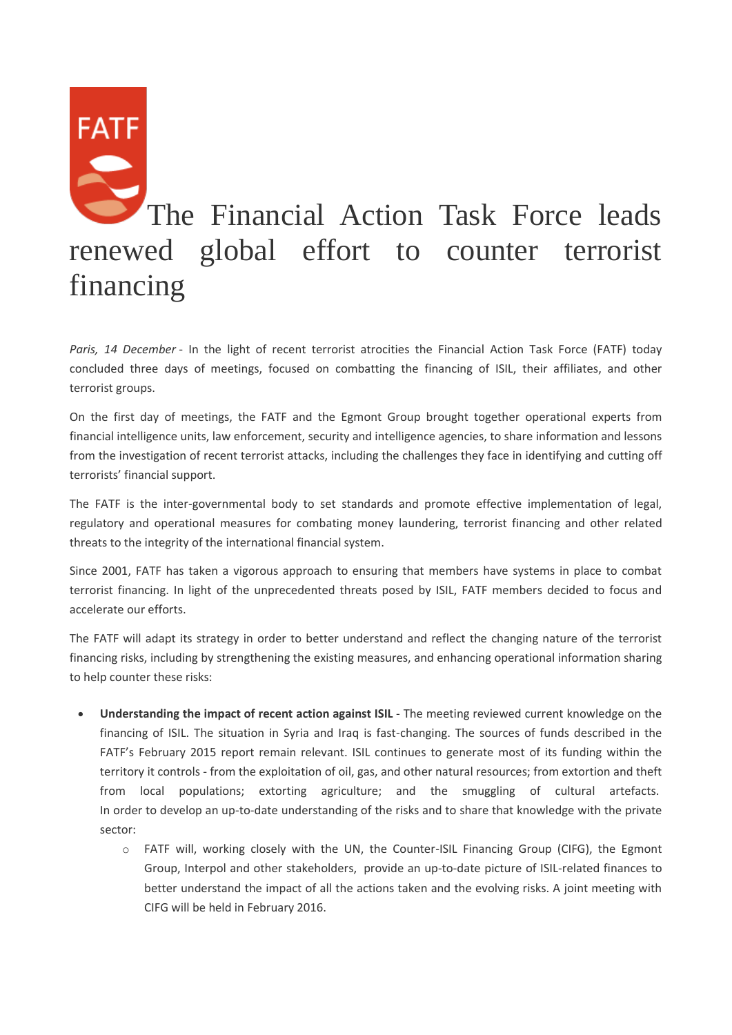## **FATF** The Financial Action Task Force leads renewed global effort to counter terrorist financing

*Paris, 14 December* - In the light of recent terrorist atrocities the Financial Action Task Force (FATF) today concluded three days of meetings, focused on combatting the financing of ISIL, their affiliates, and other terrorist groups.

On the first day of meetings, the FATF and the Egmont Group brought together operational experts from financial intelligence units, law enforcement, security and intelligence agencies, to share information and lessons from the investigation of recent terrorist attacks, including the challenges they face in identifying and cutting off terrorists' financial support.

The FATF is the inter-governmental body to set standards and promote effective implementation of legal, regulatory and operational measures for combating money laundering, terrorist financing and other related threats to the integrity of the international financial system.

Since 2001, FATF has taken a vigorous approach to ensuring that members have systems in place to combat terrorist financing. In light of the unprecedented threats posed by ISIL, FATF members decided to focus and accelerate our efforts.

The FATF will adapt its strategy in order to better understand and reflect the changing nature of the terrorist financing risks, including by strengthening the existing measures, and enhancing operational information sharing to help counter these risks:

- **Understanding the impact of recent action against ISIL** The meeting reviewed current knowledge on the financing of ISIL. The situation in Syria and Iraq is fast-changing. The sources of funds described in the FATF's February 2015 report remain relevant. ISIL continues to generate most of its funding within the territory it controls - from the exploitation of oil, gas, and other natural resources; from extortion and theft from local populations; extorting agriculture; and the smuggling of cultural artefacts. In order to develop an up-to-date understanding of the risks and to share that knowledge with the private sector:
	- o FATF will, working closely with the UN, the Counter-ISIL Financing Group (CIFG), the Egmont Group, Interpol and other stakeholders, provide an up-to-date picture of ISIL-related finances to better understand the impact of all the actions taken and the evolving risks. A joint meeting with CIFG will be held in February 2016.